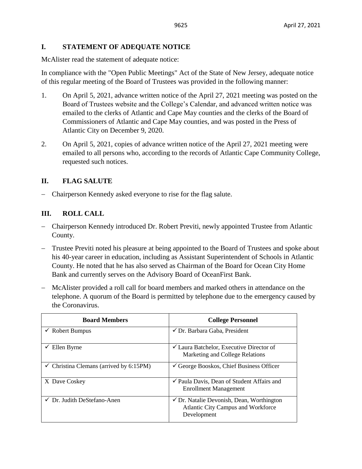### **I. STATEMENT OF ADEQUATE NOTICE**

McAlister read the statement of adequate notice:

In compliance with the "Open Public Meetings" Act of the State of New Jersey, adequate notice of this regular meeting of the Board of Trustees was provided in the following manner:

- 1. On April 5, 2021, advance written notice of the April 27, 2021 meeting was posted on the Board of Trustees website and the College's Calendar, and advanced written notice was emailed to the clerks of Atlantic and Cape May counties and the clerks of the Board of Commissioners of Atlantic and Cape May counties, and was posted in the Press of Atlantic City on December 9, 2020.
- 2. On April 5, 2021, copies of advance written notice of the April 27, 2021 meeting were emailed to all persons who, according to the records of Atlantic Cape Community College, requested such notices.

## **II. FLAG SALUTE**

− Chairperson Kennedy asked everyone to rise for the flag salute.

## **III. ROLL CALL**

- − Chairperson Kennedy introduced Dr. Robert Previti, newly appointed Trustee from Atlantic County.
- − Trustee Previti noted his pleasure at being appointed to the Board of Trustees and spoke about his 40-year career in education, including as Assistant Superintendent of Schools in Atlantic County. He noted that he has also served as Chairman of the Board for Ocean City Home Bank and currently serves on the Advisory Board of OceanFirst Bank.
- − McAlister provided a roll call for board members and marked others in attendance on the telephone. A quorum of the Board is permitted by telephone due to the emergency caused by the Coronavirus.

| <b>Board Members</b>                               | <b>College Personnel</b>                                                                                  |
|----------------------------------------------------|-----------------------------------------------------------------------------------------------------------|
| $\checkmark$ Robert Bumpus                         | $\checkmark$ Dr. Barbara Gaba, President                                                                  |
| Ellen Byrne                                        | <del></del> <del>∠</del> Laura Batchelor, Executive Director of<br>Marketing and College Relations        |
| $\checkmark$ Christina Clemans (arrived by 6:15PM) | $\checkmark$ George Booskos, Chief Business Officer                                                       |
| X Dave Coskey                                      | ✔ Paula Davis, Dean of Student Affairs and<br><b>Enrollment Management</b>                                |
| $\checkmark$ Dr. Judith DeStefano-Anen             | $\checkmark$ Dr. Natalie Devonish, Dean, Worthington<br>Atlantic City Campus and Workforce<br>Development |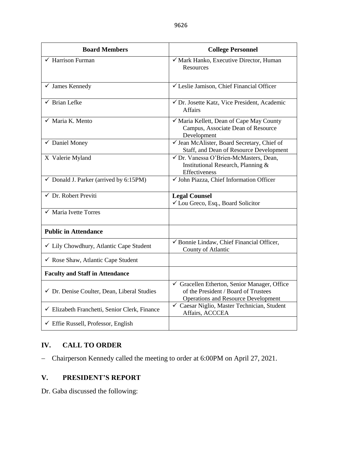| <b>Board Members</b>                              | <b>College Personnel</b>                                                                                                         |
|---------------------------------------------------|----------------------------------------------------------------------------------------------------------------------------------|
| $\checkmark$ Harrison Furman                      | √ Mark Hanko, Executive Director, Human<br>Resources                                                                             |
| $\checkmark$ James Kennedy                        | √ Leslie Jamison, Chief Financial Officer                                                                                        |
| $\checkmark$ Brian Lefke                          | √ Dr. Josette Katz, Vice President, Academic<br><b>Affairs</b>                                                                   |
| $\checkmark$ Maria K. Mento                       | √ Maria Kellett, Dean of Cape May County<br>Campus, Associate Dean of Resource<br>Development                                    |
| $\checkmark$ Daniel Money                         | √ Jean McAlister, Board Secretary, Chief of<br>Staff, and Dean of Resource Development                                           |
| X Valerie Myland                                  | √ Dr. Vanessa O'Brien-McMasters, Dean,<br>Institutional Research, Planning &<br>Effectiveness                                    |
| $\checkmark$ Donald J. Parker (arrived by 6:15PM) | √ John Piazza, Chief Information Officer                                                                                         |
| $\checkmark$ Dr. Robert Previti                   | <b>Legal Counsel</b><br>└ Lou Greco, Esq., Board Solicitor                                                                       |
| $\checkmark$ Maria Ivette Torres                  |                                                                                                                                  |
| <b>Public in Attendance</b>                       |                                                                                                                                  |
| ✓ Lily Chowdhury, Atlantic Cape Student           | Bonnie Lindaw, Chief Financial Officer,<br>County of Atlantic                                                                    |
| $\checkmark$ Rose Shaw, Atlantic Cape Student     |                                                                                                                                  |
| <b>Faculty and Staff in Attendance</b>            |                                                                                                                                  |
| √ Dr. Denise Coulter, Dean, Liberal Studies       | Gracellen Etherton, Senior Manager, Office<br>of the President / Board of Trustees<br><b>Operations and Resource Development</b> |
| ← Elizabeth Franchetti, Senior Clerk, Finance     | √ Caesar Niglio, Master Technician, Student<br>Affairs, ACCCEA                                                                   |
| $\checkmark$ Effie Russell, Professor, English    |                                                                                                                                  |

# **IV. CALL TO ORDER**

− Chairperson Kennedy called the meeting to order at 6:00PM on April 27, 2021.

# **V. PRESIDENT'S REPORT**

Dr. Gaba discussed the following: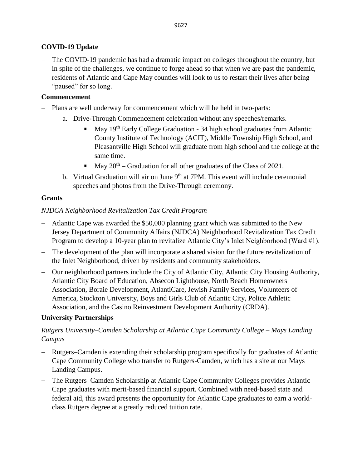# **COVID-19 Update**

− The COVID-19 pandemic has had a dramatic impact on colleges throughout the country, but in spite of the challenges, we continue to forge ahead so that when we are past the pandemic, residents of Atlantic and Cape May counties will look to us to restart their lives after being "paused" for so long.

## **Commencement**

- Plans are well underway for commencement which will be held in two-parts:
	- a. Drive-Through Commencement celebration without any speeches/remarks.
		- $\blacksquare$  May 19<sup>th</sup> Early College Graduation 34 high school graduates from Atlantic County Institute of Technology (ACIT), Middle Township High School, and Pleasantville High School will graduate from high school and the college at the same time.
		- $\blacksquare$  May 20<sup>th</sup> Graduation for all other graduates of the Class of 2021.
	- b. Virtual Graduation will air on June  $9<sup>th</sup>$  at 7PM. This event will include ceremonial speeches and photos from the Drive-Through ceremony.

## **Grants**

## *NJDCA Neighborhood Revitalization Tax Credit Program*

- − Atlantic Cape was awarded the \$50,000 planning grant which was submitted to the New Jersey Department of Community Affairs (NJDCA) Neighborhood Revitalization Tax Credit Program to develop a 10-year plan to revitalize Atlantic City's Inlet Neighborhood (Ward #1).
- − The development of the plan will incorporate a shared vision for the future revitalization of the Inlet Neighborhood, driven by residents and community stakeholders.
- − Our neighborhood partners include the City of Atlantic City, Atlantic City Housing Authority, Atlantic City Board of Education, Absecon Lighthouse, North Beach Homeowners Association, Boraie Development, AtlantiCare, Jewish Family Services, Volunteers of America, Stockton University, Boys and Girls Club of Atlantic City, Police Athletic Association, and the Casino Reinvestment Development Authority (CRDA).

## **University Partnerships**

# *Rutgers University–Camden Scholarship at Atlantic Cape Community College – Mays Landing Campus*

- − Rutgers–Camden is extending their scholarship program specifically for graduates of Atlantic Cape Community College who transfer to Rutgers-Camden, which has a site at our Mays Landing Campus.
- − The Rutgers–Camden Scholarship at Atlantic Cape Community Colleges provides Atlantic Cape graduates with merit-based financial support. Combined with need-based state and federal aid, this award presents the opportunity for Atlantic Cape graduates to earn a worldclass Rutgers degree at a greatly reduced tuition rate.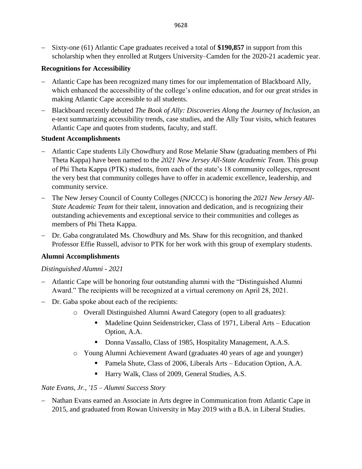− Sixty-one (61) Atlantic Cape graduates received a total of **\$190,857** in support from this scholarship when they enrolled at Rutgers University–Camden for the 2020-21 academic year.

### **Recognitions for Accessibility**

- − Atlantic Cape has been recognized many times for our implementation of Blackboard Ally, which enhanced the accessibility of the college's online education, and for our great strides in making Atlantic Cape accessible to all students.
- − Blackboard recently debuted *The Book of Ally: Discoveries Along the Journey of Inclusion*, an e-text summarizing accessibility trends, case studies, and the Ally Tour visits, which features Atlantic Cape and quotes from students, faculty, and staff.

### **Student Accomplishments**

- − Atlantic Cape students Lily Chowdhury and Rose Melanie Shaw (graduating members of Phi Theta Kappa) have been named to the *2021 New Jersey All-State Academic Team*. This group of Phi Theta Kappa (PTK) students, from each of the state's 18 community colleges, represent the very best that community colleges have to offer in academic excellence, leadership, and community service.
- − The New Jersey Council of County Colleges (NJCCC) is honoring the *2021 New Jersey All-State Academic Team* for their talent, innovation and dedication, and is recognizing their outstanding achievements and exceptional service to their communities and colleges as members of Phi Theta Kappa.
- − Dr. Gaba congratulated Ms. Chowdhury and Ms. Shaw for this recognition, and thanked Professor Effie Russell, advisor to PTK for her work with this group of exemplary students.

## **Alumni Accomplishments**

### *Distinguished Alumni - 2021*

- − Atlantic Cape will be honoring four outstanding alumni with the "Distinguished Alumni Award." The recipients will be recognized at a virtual ceremony on April 28, 2021.
- − Dr. Gaba spoke about each of the recipients:
	- o Overall Distinguished Alumni Award Category (open to all graduates):
		- Madeline Quinn Seidenstricker, Class of 1971, Liberal Arts Education Option, A.A.
		- Donna Vassallo, Class of 1985, Hospitality Management, A.A.S.
	- o Young Alumni Achievement Award (graduates 40 years of age and younger)
		- Pamela Shute, Class of 2006, Liberals Arts Education Option, A.A.
		- Harry Walk, Class of 2009, General Studies, A.S.

## *Nate Evans, Jr., '15 – Alumni Success Story*

− Nathan Evans earned an Associate in Arts degree in Communication from Atlantic Cape in 2015, and graduated from Rowan University in May 2019 with a B.A. in Liberal Studies.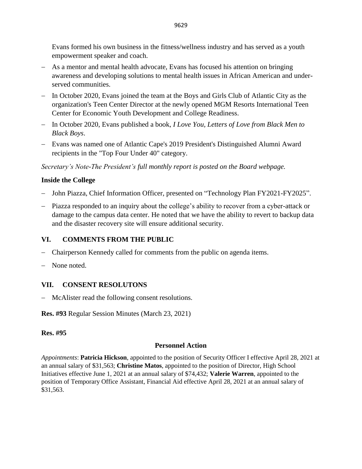Evans formed his own business in the fitness/wellness industry and has served as a youth empowerment speaker and coach.

- − As a mentor and mental health advocate, Evans has focused his attention on bringing awareness and developing solutions to mental health issues in African American and underserved communities.
- − In October 2020, Evans joined the team at the Boys and Girls Club of Atlantic City as the organization's Teen Center Director at the newly opened MGM Resorts International Teen Center for Economic Youth Development and College Readiness.
- − In October 2020, Evans published a book, *I Love You, Letters of Love from Black Men to Black Boys*.
- − Evans was named one of Atlantic Cape's 2019 President's Distinguished Alumni Award recipients in the "Top Four Under 40" category.

*Secretary's Note-The President's full monthly report is posted on the Board webpage.*

## **Inside the College**

- John Piazza, Chief Information Officer, presented on "Technology Plan FY2021-FY2025".
- − Piazza responded to an inquiry about the college's ability to recover from a cyber-attack or damage to the campus data center. He noted that we have the ability to revert to backup data and the disaster recovery site will ensure additional security.

## **VI. COMMENTS FROM THE PUBLIC**

- − Chairperson Kennedy called for comments from the public on agenda items.
- None noted.

## **VII. CONSENT RESOLUTONS**

− McAlister read the following consent resolutions.

**Res. #93** Regular Session Minutes (March 23, 2021)

### **Res. #95**

## **Personnel Action**

*Appointments*: **Patricia Hickson**, appointed to the position of Security Officer I effective April 28, 2021 at an annual salary of \$31,563; **Christine Matos**, appointed to the position of Director, High School Initiatives effective June 1, 2021 at an annual salary of \$74,432; **Valerie Warren**, appointed to the position of Temporary Office Assistant, Financial Aid effective April 28, 2021 at an annual salary of \$31,563.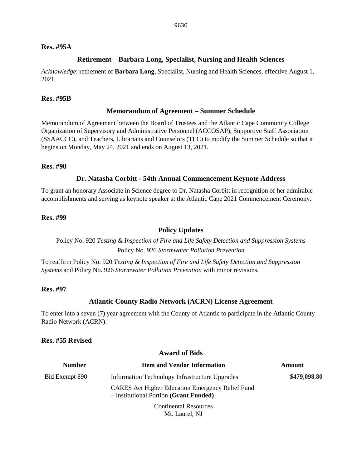### **Res. #95A**

#### **Retirement – Barbara Long, Specialist, Nursing and Health Sciences**

*Acknowledge*: retirement of **Barbara Long**, Specialist, Nursing and Health Sciences, effective August 1, 2021.

#### **Res. #95B**

#### **Memorandum of Agreement – Summer Schedule**

Memorandum of Agreement between the Board of Trustees and the Atlantic Cape Community College Organization of Supervisory and Administrative Personnel (ACCOSAP), Supportive Staff Association (SSAACCC), and Teachers, Librarians and Counselors (TLC) to modify the Summer Schedule so that it begins on Monday, May 24, 2021 and ends on August 13, 2021.

#### **Res. #98**

#### **Dr. Natasha Corbitt - 54th Annual Commencement Keynote Address**

To grant an honorary Associate in Science degree to Dr. Natasha Corbitt in recognition of her admirable accomplishments and serving as keynote speaker at the Atlantic Cape 2021 Commencement Ceremony.

#### **Res. #99**

#### **Policy Updates**

Policy No. 920 *Testing & Inspection of Fire and Life Safety Detection and Suppression Systems* Policy No. 926 *Stormwater Pollution Prevention*

To reaffirm Policy No. 920 *Testing & Inspection of Fire and Life Safety Detection and Suppression Systems* and Policy No. 926 *Stormwater Pollution Prevention* with minor revisions.

#### **Res. #97**

#### **Atlantic County Radio Network (ACRN) License Agreement**

To enter into a seven (7) year agreement with the County of Atlantic to participate in the Atlantic County Radio Network (ACRN).

### **Res. #55 Revised**

#### **Award of Bids**

| <b>Number</b>  | <b>Item and Vendor Information</b>                                                                | Amount       |
|----------------|---------------------------------------------------------------------------------------------------|--------------|
| Bid Exempt 890 | Information Technology Infrastructure Upgrades                                                    | \$479,098.80 |
|                | <b>CARES</b> Act Higher Education Emergency Relief Fund<br>- Institutional Portion (Grant Funded) |              |
|                | <b>Continental Resources</b>                                                                      |              |

Mt. Laurel, NJ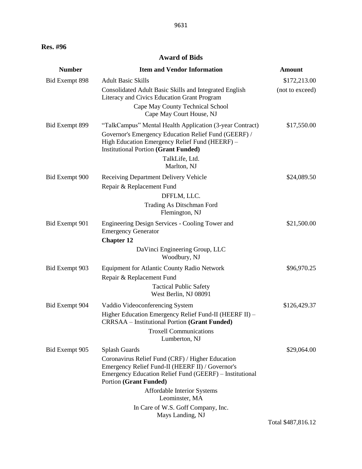### **Award of Bids**

| <b>Number</b>  | <b>Item and Vendor Information</b>                                                                                                                                                               | <b>Amount</b>   |
|----------------|--------------------------------------------------------------------------------------------------------------------------------------------------------------------------------------------------|-----------------|
| Bid Exempt 898 | <b>Adult Basic Skills</b>                                                                                                                                                                        | \$172,213.00    |
|                | Consolidated Adult Basic Skills and Integrated English<br>Literacy and Civics Education Grant Program                                                                                            | (not to exceed) |
|                | Cape May County Technical School<br>Cape May Court House, NJ                                                                                                                                     |                 |
| Bid Exempt 899 | "TalkCampus" Mental Health Application (3-year Contract)                                                                                                                                         | \$17,550.00     |
|                | Governor's Emergency Education Relief Fund (GEERF) /<br>High Education Emergency Relief Fund (HEERF) -<br><b>Institutional Portion (Grant Funded)</b>                                            |                 |
|                | TalkLife, Ltd.<br>Marlton, NJ                                                                                                                                                                    |                 |
| Bid Exempt 900 | Receiving Department Delivery Vehicle<br>Repair & Replacement Fund                                                                                                                               | \$24,089.50     |
|                | DFFLM, LLC.                                                                                                                                                                                      |                 |
|                | Trading As Ditschman Ford<br>Flemington, NJ                                                                                                                                                      |                 |
| Bid Exempt 901 | Engineering Design Services - Cooling Tower and<br><b>Emergency Generator</b>                                                                                                                    | \$21,500.00     |
|                | <b>Chapter 12</b>                                                                                                                                                                                |                 |
|                | DaVinci Engineering Group, LLC<br>Woodbury, NJ                                                                                                                                                   |                 |
| Bid Exempt 903 | <b>Equipment for Atlantic County Radio Network</b>                                                                                                                                               | \$96,970.25     |
|                | Repair & Replacement Fund                                                                                                                                                                        |                 |
|                | <b>Tactical Public Safety</b><br>West Berlin, NJ 08091                                                                                                                                           |                 |
| Bid Exempt 904 | Vaddio Videoconferencing System                                                                                                                                                                  | \$126,429.37    |
|                | Higher Education Emergency Relief Fund-II (HEERF II) -<br>CRRSAA - Institutional Portion (Grant Funded)                                                                                          |                 |
|                | <b>Troxell Communications</b><br>Lumberton, NJ                                                                                                                                                   |                 |
| Bid Exempt 905 | Splash Guards                                                                                                                                                                                    | \$29,064.00     |
|                | Coronavirus Relief Fund (CRF) / Higher Education<br>Emergency Relief Fund-II (HEERF II) / Governor's<br>Emergency Education Relief Fund (GEERF) – Institutional<br><b>Portion (Grant Funded)</b> |                 |
|                | Affordable Interior Systems<br>Leominster, MA                                                                                                                                                    |                 |
|                | In Care of W.S. Goff Company, Inc.<br>Mays Landing, NJ                                                                                                                                           |                 |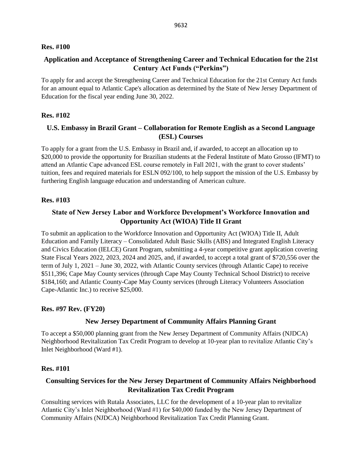### **Res. #100**

## **Application and Acceptance of Strengthening Career and Technical Education for the 21st Century Act Funds ("Perkins")**

To apply for and accept the Strengthening Career and Technical Education for the 21st Century Act funds for an amount equal to Atlantic Cape's allocation as determined by the State of New Jersey Department of Education for the fiscal year ending June 30, 2022.

### **Res. #102**

## **U.S. Embassy in Brazil Grant – Collaboration for Remote English as a Second Language (ESL) Courses**

To apply for a grant from the U.S. Embassy in Brazil and, if awarded, to accept an allocation up to \$20,000 to provide the opportunity for Brazilian students at the Federal Institute of Mato Grosso (IFMT) to attend an Atlantic Cape advanced ESL course remotely in Fall 2021, with the grant to cover students' tuition, fees and required materials for ESLN 092/100, to help support the mission of the U.S. Embassy by furthering English language education and understanding of American culture.

### **Res. #103**

### **State of New Jersey Labor and Workforce Development's Workforce Innovation and Opportunity Act (WIOA) Title II Grant**

To submit an application to the Workforce Innovation and Opportunity Act (WIOA) Title II, Adult Education and Family Literacy – Consolidated Adult Basic Skills (ABS) and Integrated English Literacy and Civics Education (IELCE) Grant Program, submitting a 4-year competitive grant application covering State Fiscal Years 2022, 2023, 2024 and 2025, and, if awarded, to accept a total grant of \$720,556 over the term of July 1, 2021 – June 30, 2022, with Atlantic County services (through Atlantic Cape) to receive \$511,396; Cape May County services (through Cape May County Technical School District) to receive \$184,160; and Atlantic County-Cape May County services (through Literacy Volunteers Association Cape-Atlantic Inc.) to receive \$25,000.

### **Res. #97 Rev. (FY20)**

### **New Jersey Department of Community Affairs Planning Grant**

To accept a \$50,000 planning grant from the New Jersey Department of Community Affairs (NJDCA) Neighborhood Revitalization Tax Credit Program to develop at 10-year plan to revitalize Atlantic City's Inlet Neighborhood (Ward #1).

#### **Res. #101**

## **Consulting Services for the New Jersey Department of Community Affairs Neighborhood Revitalization Tax Credit Program**

Consulting services with Rutala Associates, LLC for the development of a 10-year plan to revitalize Atlantic City's Inlet Neighborhood (Ward #1) for \$40,000 funded by the New Jersey Department of Community Affairs (NJDCA) Neighborhood Revitalization Tax Credit Planning Grant.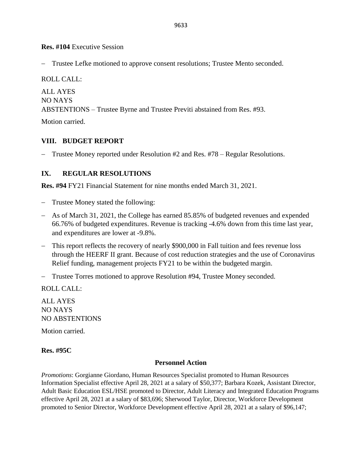**Res. #104** Executive Session

− Trustee Lefke motioned to approve consent resolutions; Trustee Mento seconded.

ROLL CALL: ALL AYES NO NAYS ABSTENTIONS – Trustee Byrne and Trustee Previti abstained from Res. #93.

Motion carried.

### **VIII. BUDGET REPORT**

− Trustee Money reported under Resolution #2 and Res. #78 – Regular Resolutions.

### **IX. REGULAR RESOLUTIONS**

**Res. #94** FY21 Financial Statement for nine months ended March 31, 2021.

- − Trustee Money stated the following:
- − As of March 31, 2021, the College has earned 85.85% of budgeted revenues and expended 66.76% of budgeted expenditures. Revenue is tracking -4.6% down from this time last year, and expenditures are lower at -9.8%.
- − This report reflects the recovery of nearly \$900,000 in Fall tuition and fees revenue loss through the HEERF II grant. Because of cost reduction strategies and the use of Coronavirus Relief funding, management projects FY21 to be within the budgeted margin.
- − Trustee Torres motioned to approve Resolution #94, Trustee Money seconded.

ROLL CALL:

ALL AYES NO NAYS NO ABSTENTIONS Motion carried.

### **Res. #95C**

### **Personnel Action**

*Promotions*: Gorgianne Giordano, Human Resources Specialist promoted to Human Resources Information Specialist effective April 28, 2021 at a salary of \$50,377; Barbara Kozek, Assistant Director, Adult Basic Education ESL/HSE promoted to Director, Adult Literacy and Integrated Education Programs effective April 28, 2021 at a salary of \$83,696; Sherwood Taylor, Director, Workforce Development promoted to Senior Director, Workforce Development effective April 28, 2021 at a salary of \$96,147;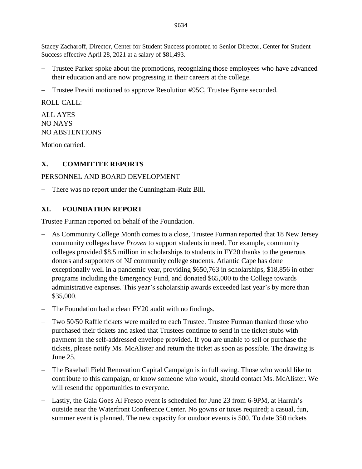Stacey Zacharoff, Director, Center for Student Success promoted to Senior Director, Center for Student Success effective April 28, 2021 at a salary of \$81,493.

- Trustee Parker spoke about the promotions, recognizing those employees who have advanced their education and are now progressing in their careers at the college.
- − Trustee Previti motioned to approve Resolution #95C, Trustee Byrne seconded.

ROLL CALL:

ALL AYES NO NAYS NO ABSTENTIONS

Motion carried.

## **X. COMMITTEE REPORTS**

## PERSONNEL AND BOARD DEVELOPMENT

− There was no report under the Cunningham-Ruiz Bill.

## **XI. FOUNDATION REPORT**

Trustee Furman reported on behalf of the Foundation.

- − As Community College Month comes to a close, Trustee Furman reported that 18 New Jersey community colleges have *Proven* to support students in need. For example, community colleges provided \$8.5 million in scholarships to students in FY20 thanks to the generous donors and supporters of NJ community college students. Atlantic Cape has done exceptionally well in a pandemic year, providing \$650,763 in scholarships, \$18,856 in other programs including the Emergency Fund, and donated \$65,000 to the College towards administrative expenses. This year's scholarship awards exceeded last year's by more than \$35,000.
- The Foundation had a clean FY20 audit with no findings.
- Two 50/50 Raffle tickets were mailed to each Trustee. Trustee Furman thanked those who purchased their tickets and asked that Trustees continue to send in the ticket stubs with payment in the self-addressed envelope provided. If you are unable to sell or purchase the tickets, please notify Ms. McAlister and return the ticket as soon as possible. The drawing is June 25.
- − The Baseball Field Renovation Capital Campaign is in full swing. Those who would like to contribute to this campaign, or know someone who would, should contact Ms. McAlister. We will resend the opportunities to everyone.
- − Lastly, the Gala Goes Al Fresco event is scheduled for June 23 from 6-9PM, at Harrah's outside near the Waterfront Conference Center. No gowns or tuxes required; a casual, fun, summer event is planned. The new capacity for outdoor events is 500. To date 350 tickets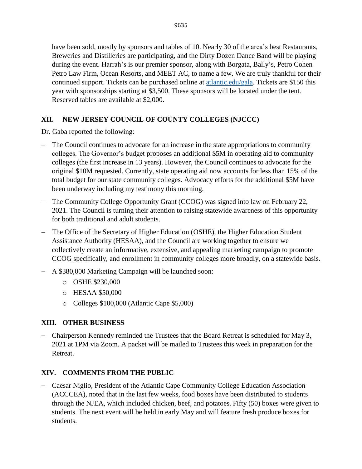have been sold, mostly by sponsors and tables of 10. Nearly 30 of the area's best Restaurants, Breweries and Distilleries are participating, and the Dirty Dozen Dance Band will be playing during the event. Harrah's is our premier sponsor, along with Borgata, Bally's, Petro Cohen Petro Law Firm, Ocean Resorts, and MEET AC, to name a few. We are truly thankful for their continued support. Tickets can be purchased online at [atlantic.edu/gala.](http://www.atlantic.edu/gala) Tickets are \$150 this year with sponsorships starting at \$3,500. These sponsors will be located under the tent. Reserved tables are available at \$2,000.

# **XII. NEW JERSEY COUNCIL OF COUNTY COLLEGES (NJCCC)**

Dr. Gaba reported the following:

- − The Council continues to advocate for an increase in the state appropriations to community colleges. The Governor's budget proposes an additional \$5M in operating aid to community colleges (the first increase in 13 years). However, the Council continues to advocate for the original \$10M requested. Currently, state operating aid now accounts for less than 15% of the total budget for our state community colleges. Advocacy efforts for the additional \$5M have been underway including my testimony this morning.
- − The Community College Opportunity Grant (CCOG) was signed into law on February 22, 2021. The Council is turning their attention to raising statewide awareness of this opportunity for both traditional and adult students.
- − The Office of the Secretary of Higher Education (OSHE), the Higher Education Student Assistance Authority (HESAA), and the Council are working together to ensure we collectively create an informative, extensive, and appealing marketing campaign to promote CCOG specifically, and enrollment in community colleges more broadly, on a statewide basis.
- − A \$380,000 Marketing Campaign will be launched soon:
	- o OSHE \$230,000
	- o HESAA \$50,000
	- o Colleges \$100,000 (Atlantic Cape \$5,000)

# **XIII. OTHER BUSINESS**

− Chairperson Kennedy reminded the Trustees that the Board Retreat is scheduled for May 3, 2021 at 1PM via Zoom. A packet will be mailed to Trustees this week in preparation for the Retreat.

## **XIV. COMMENTS FROM THE PUBLIC**

− Caesar Niglio, President of the Atlantic Cape Community College Education Association (ACCCEA), noted that in the last few weeks, food boxes have been distributed to students through the NJEA, which included chicken, beef, and potatoes. Fifty (50) boxes were given to students. The next event will be held in early May and will feature fresh produce boxes for students.